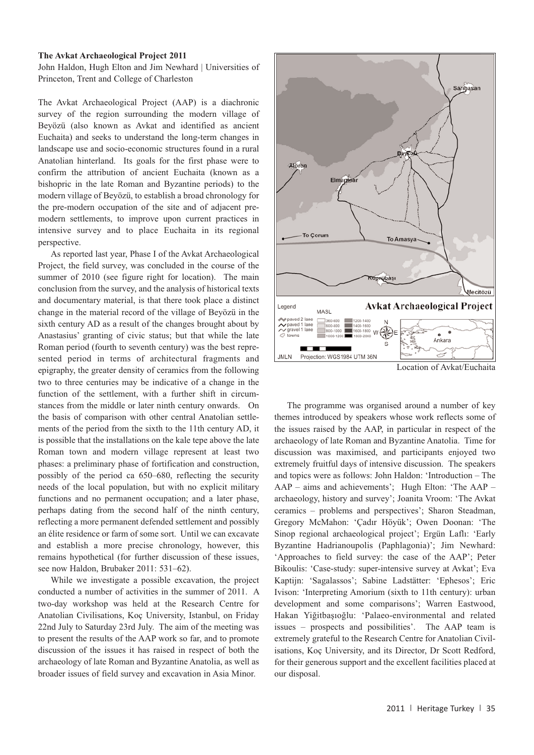Heritage Turkey volume 1 (2011) pp. 35-36 | doi:10.18866/biaa2015.020 | published online: 27 October 2015 © British Institute at Ankara

## **The Avkat Archaeological Project 2011**

John Haldon, Hugh Elton and Jim Newhard | Universities of Princeton, Trent and College of Charleston

The Avkat Archaeological Project (AAP) is a diachronic survey of the region surrounding the modern village of Beyözü (also known as Avkat and identified as ancient Euchaita) and seeks to understand the long-term changes in landscape use and socio-economic structures found in a rural Anatolian hinterland. Its goals for the first phase were to confirm the attribution of ancient Euchaita (known as a bishopric in the late Roman and Byzantine periods) to the modern village of Beyözü, to establish a broad chronology for the pre-modern occupation of the site and of adjacent premodern settlements, to improve upon current practices in intensive survey and to place Euchaita in its regional perspective.

As reported last year, Phase I of the Avkat Archaeological Project, the field survey, was concluded in the course of the summer of 2010 (see figure right for location). The main conclusion from the survey, and the analysis of historical texts and documentary material, is that there took place a distinct change in the material record of the village of Beyözü in the sixth century AD as a result of the changes brought about by Anastasius' granting of civic status; but that while the late Roman period (fourth to seventh century) was the best represented period in terms of architectural fragments and epigraphy, the greater density of ceramics from the following two to three centuries may be indicative of a change in the function of the settlement, with a further shift in circumstances from the middle or later ninth century onwards. On the basis of comparison with other central Anatolian settlements of the period from the sixth to the 11th century AD, it is possible that the installations on the kale tepe above the late Roman town and modern village represent at least two phases: a preliminary phase of fortification and construction, possibly of the period ca 650–680, reflecting the security needs of the local population, but with no explicit military functions and no permanent occupation; and a later phase, perhaps dating from the second half of the ninth century, reflecting a more permanent defended settlement and possibly an élite residence or farm of some sort. Until we can excavate and establish a more precise chronology, however, this remains hypothetical (for further discussion of these issues, see now Haldon, Brubaker 2011: 531–62).

While we investigate a possible excavation, the project conducted a number of activities in the summer of 2011. A two-day workshop was held at the Research Centre for Anatolian Civilisations, Koç University, Istanbul, on Friday 22nd July to Saturday 23rd July. The aim of the meeting was to present the results of the AAP work so far, and to promote discussion of the issues it has raised in respect of both the archaeology of late Roman and Byzantine Anatolia, as well as broader issues of field survey and excavation in Asia Minor.



Location of Avkat/Euchaita

The programme was organised around a number of key themes introduced by speakers whose work reflects some of the issues raised by the AAP, in particular in respect of the archaeology of late Roman and Byzantine Anatolia. Time for discussion was maximised, and participants enjoyed two extremely fruitful days of intensive discussion. The speakers and topics were as follows: John Haldon: 'Introduction – The AAP – aims and achievements'; Hugh Elton: 'The AAP – archaeology, history and survey'; Joanita Vroom: 'The Avkat ceramics – problems and perspectives'; Sharon Steadman, Gregory McMahon: 'Çadır Höyük'; Owen Doonan: 'The Sinop regional archaeological project'; Ergün Laflı: 'Early Byzantine Hadrianoupolis (Paphlagonia)'; Jim Newhard: 'Approaches to field survey: the case of the AAP'; Peter Bikoulis: 'Case-study: super-intensive survey at Avkat'; Eva Kaptijn: 'Sagalassos'; Sabine Ladstätter: 'Ephesos'; Eric Ivison: 'Interpreting Amorium (sixth to 11th century): urban development and some comparisons'; Warren Eastwood, Hakan Yiğitbaşıoğlu: 'Palaeo-environmental and related issues – prospects and possibilities'. The AAP team is extremely grateful to the Research Centre for Anatolian Civilisations, Koç University, and its Director, Dr Scott Redford, for their generous support and the excellent facilities placed at our disposal.